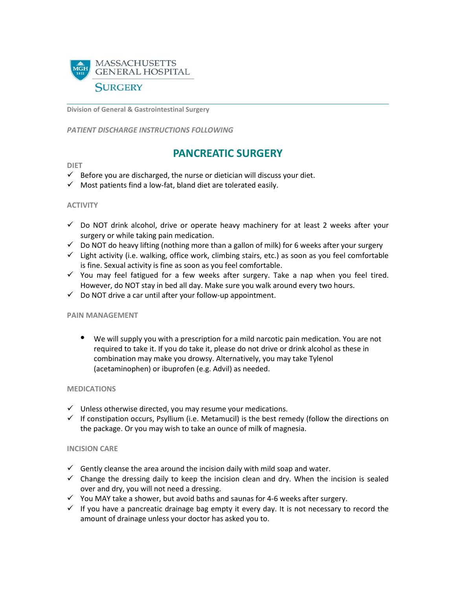

**Division of General & Gastrointestinal Surgery**

*PATIENT DISCHARGE INSTRUCTIONS FOLLOWING* 

# **PANCREATIC SURGERY**

#### **DIET**

- $\checkmark$  Before you are discharged, the nurse or dietician will discuss your diet.
- $\checkmark$  Most patients find a low-fat, bland diet are tolerated easily.

#### **ACTIVITY**

- $\checkmark$  Do NOT drink alcohol, drive or operate heavy machinery for at least 2 weeks after your surgery or while taking pain medication.
- $\checkmark$  Do NOT do heavy lifting (nothing more than a gallon of milk) for 6 weeks after your surgery
- $\checkmark$  Light activity (i.e. walking, office work, climbing stairs, etc.) as soon as you feel comfortable is fine. Sexual activity is fine as soon as you feel comfortable.
- $\checkmark$  You may feel fatigued for a few weeks after surgery. Take a nap when you feel tired. However, do NOT stay in bed all day. Make sure you walk around every two hours.
- $\checkmark$  Do NOT drive a car until after your follow-up appointment.

#### **PAIN MANAGEMENT**

• We will supply you with a prescription for a mild narcotic pain medication. You are not required to take it. If you do take it, please do not drive or drink alcohol as these in combination may make you drowsy. Alternatively, you may take Tylenol (acetaminophen) or ibuprofen (e.g. Advil) as needed.

### **MEDICATIONS**

- $\checkmark$  Unless otherwise directed, you may resume your medications.
- $\checkmark$  If constipation occurs, Psyllium (i.e. Metamucil) is the best remedy (follow the directions on the package. Or you may wish to take an ounce of milk of magnesia.

#### **INCISION CARE**

- $\checkmark$  Gently cleanse the area around the incision daily with mild soap and water.
- $\checkmark$  Change the dressing daily to keep the incision clean and dry. When the incision is sealed over and dry, you will not need a dressing.
- $\checkmark$  You MAY take a shower, but avoid baths and saunas for 4-6 weeks after surgery.
- $\checkmark$  If you have a pancreatic drainage bag empty it every day. It is not necessary to record the amount of drainage unless your doctor has asked you to.